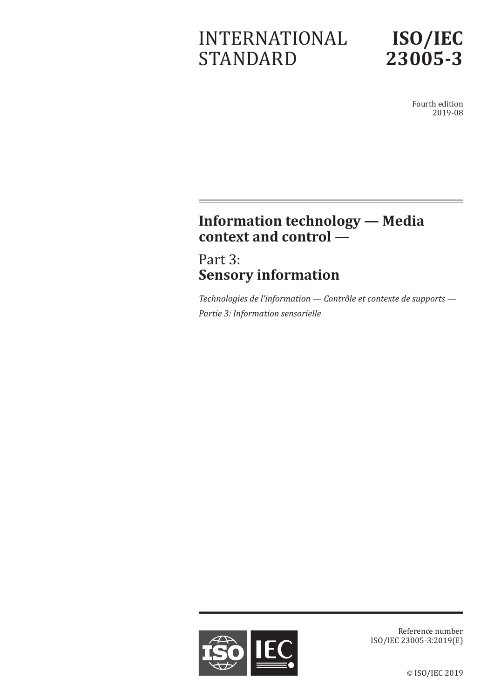# INTERNATIONAL STANDARD



Fourth edition 2019-08

# **Information technology — Media context and control —**

# Part 3: **Sensory information**

*Technologies de l'information — Contrôle et contexte de supports — Partie 3: Information sensorielle*



Reference number ISO/IEC 23005-3:2019(E)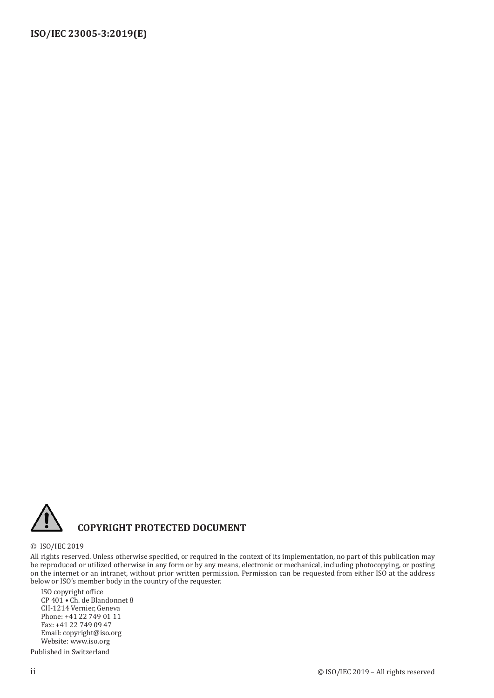

#### **COPYRIGHT PROTECTED DOCUMENT**

#### © ISO/IEC 2019

All rights reserved. Unless otherwise specified, or required in the context of its implementation, no part of this publication may be reproduced or utilized otherwise in any form or by any means, electronic or mechanical, including photocopying, or posting on the internet or an intranet, without prior written permission. Permission can be requested from either ISO at the address below or ISO's member body in the country of the requester.

ISO copyright office CP 401 • Ch. de Blandonnet 8 CH-1214 Vernier, Geneva Phone: +41 22 749 01 11 Fax: +41 22 749 09 47 Email: copyright@iso.org Website: www.iso.org

Published in Switzerland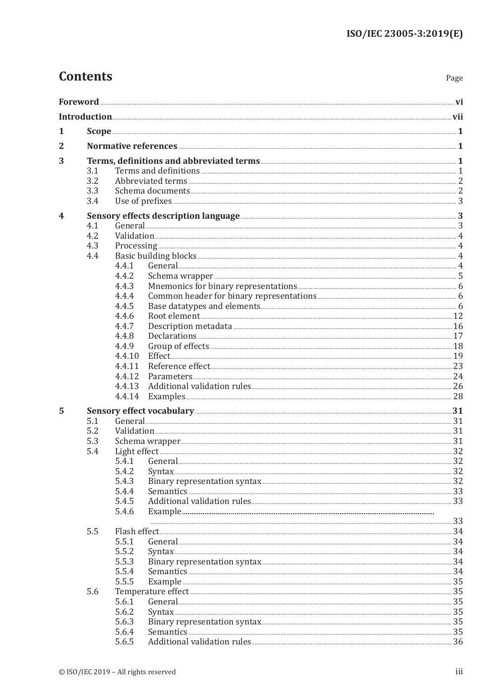## **Contents**

| 1 |     |        |                                                                                                                                                                                                                                |    |  |
|---|-----|--------|--------------------------------------------------------------------------------------------------------------------------------------------------------------------------------------------------------------------------------|----|--|
| 2 |     |        |                                                                                                                                                                                                                                |    |  |
| 3 |     |        |                                                                                                                                                                                                                                |    |  |
|   | 3.1 |        |                                                                                                                                                                                                                                |    |  |
|   | 3.2 |        |                                                                                                                                                                                                                                |    |  |
|   | 3.3 |        |                                                                                                                                                                                                                                |    |  |
|   | 3.4 |        |                                                                                                                                                                                                                                |    |  |
| 4 |     |        | Sensory effects description language <b>Manual Equation 2018</b>                                                                                                                                                               |    |  |
|   | 4.1 |        | General 233 Seneral 2014 and 2014 and 2014 and 2014 and 2014 and 2014 and 2014 and 2014 and 2014 and 2014 and 2014 and 2014 and 2014 and 2014 and 2014 and 2014 and 2014 and 2014 and 2014 and 2014 and 2014 and 2014 and 2014 |    |  |
|   | 4.2 |        |                                                                                                                                                                                                                                |    |  |
|   | 4.3 |        |                                                                                                                                                                                                                                |    |  |
|   | 4.4 |        |                                                                                                                                                                                                                                |    |  |
|   |     | 4.4.1  |                                                                                                                                                                                                                                |    |  |
|   |     | 4.4.2  |                                                                                                                                                                                                                                |    |  |
|   |     | 4.4.3  |                                                                                                                                                                                                                                |    |  |
|   |     | 4.4.4  |                                                                                                                                                                                                                                |    |  |
|   |     | 4.4.5  |                                                                                                                                                                                                                                |    |  |
|   |     | 4.4.6  |                                                                                                                                                                                                                                |    |  |
|   |     | 4.4.7  |                                                                                                                                                                                                                                |    |  |
|   |     | 4.4.8  |                                                                                                                                                                                                                                |    |  |
|   |     | 4.4.9  |                                                                                                                                                                                                                                |    |  |
|   |     | 4.4.10 |                                                                                                                                                                                                                                |    |  |
|   |     | 4.4.11 |                                                                                                                                                                                                                                |    |  |
|   |     | 4.4.12 |                                                                                                                                                                                                                                |    |  |
|   |     | 4.4.13 |                                                                                                                                                                                                                                |    |  |
|   |     | 4.4.14 |                                                                                                                                                                                                                                |    |  |
| 5 |     |        |                                                                                                                                                                                                                                |    |  |
|   | 5.1 |        |                                                                                                                                                                                                                                |    |  |
|   | 5.2 |        |                                                                                                                                                                                                                                |    |  |
|   | 5.3 |        |                                                                                                                                                                                                                                |    |  |
|   | 5.4 |        |                                                                                                                                                                                                                                |    |  |
|   |     | 5.4.1  |                                                                                                                                                                                                                                |    |  |
|   |     | 5.4.2  | $Syn tax$ 32                                                                                                                                                                                                                   |    |  |
|   |     | 5.4.3  |                                                                                                                                                                                                                                |    |  |
|   |     | 5.4.4  |                                                                                                                                                                                                                                |    |  |
|   |     | 5.4.5  |                                                                                                                                                                                                                                |    |  |
|   |     | 5.4.6  |                                                                                                                                                                                                                                |    |  |
|   |     |        |                                                                                                                                                                                                                                |    |  |
|   | 5.5 |        |                                                                                                                                                                                                                                |    |  |
|   |     | 5.5.1  |                                                                                                                                                                                                                                |    |  |
|   |     | 5.5.2  |                                                                                                                                                                                                                                | 34 |  |
|   |     | 5.5.3  |                                                                                                                                                                                                                                |    |  |
|   |     | 5.5.4  |                                                                                                                                                                                                                                |    |  |
|   |     | 5.5.5  |                                                                                                                                                                                                                                |    |  |
|   | 5.6 |        |                                                                                                                                                                                                                                |    |  |
|   |     | 5.6.1  |                                                                                                                                                                                                                                |    |  |
|   |     | 5.6.2  |                                                                                                                                                                                                                                |    |  |
|   |     | 5.6.3  |                                                                                                                                                                                                                                |    |  |
|   |     | 5.6.4  |                                                                                                                                                                                                                                |    |  |
|   |     | 5.6.5  |                                                                                                                                                                                                                                |    |  |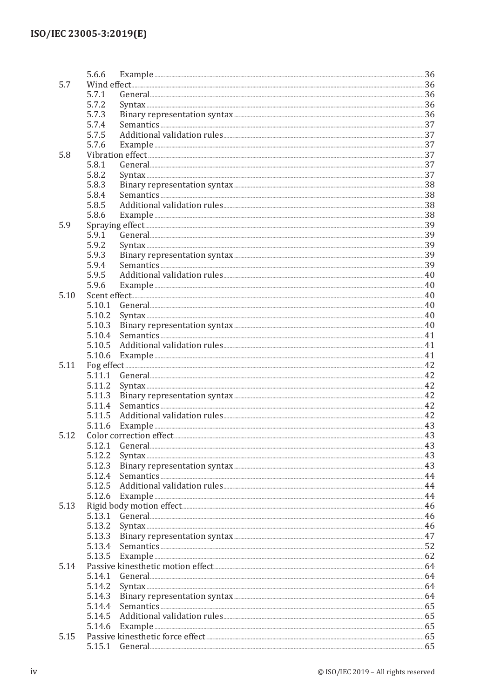|      | 5.6.6  |                             |     |
|------|--------|-----------------------------|-----|
| 5.7  |        |                             |     |
|      | 5.7.1  |                             |     |
|      | 5.7.2  |                             |     |
|      | 5.7.3  |                             |     |
|      | 5.7.4  |                             |     |
|      | 5.7.5  |                             |     |
|      | 5.7.6  |                             |     |
| 5.8  |        |                             |     |
|      | 5.8.1  |                             |     |
|      | 5.8.2  |                             |     |
|      | 5.8.3  |                             |     |
|      | 5.8.4  |                             |     |
|      | 5.8.5  |                             |     |
|      | 5.8.6  |                             |     |
| 5.9  |        | Example <b>Example</b> 38   |     |
|      | 5.9.1  |                             |     |
|      |        |                             |     |
|      | 5.9.2  | $Syn tax$ 39                |     |
|      | 5.9.3  |                             |     |
|      | 5.9.4  |                             |     |
|      | 5.9.5  |                             |     |
|      | 5.9.6  |                             |     |
| 5.10 |        |                             |     |
|      | 5.10.1 |                             |     |
|      | 5.10.2 |                             |     |
|      | 5.10.3 |                             |     |
|      | 5.10.4 |                             |     |
|      | 5.10.5 |                             |     |
|      | 5.10.6 |                             |     |
| 5.11 |        |                             |     |
|      | 5.11.1 |                             |     |
|      | 5.11.2 |                             |     |
|      | 5.11.3 |                             |     |
|      | 5.11.4 |                             |     |
|      | 5.11.5 |                             |     |
|      | 5.11.6 |                             |     |
| 5.12 |        |                             |     |
|      | 5.12.1 |                             |     |
|      | 5.12.2 |                             |     |
|      | 5.12.3 |                             |     |
|      | 5.12.4 |                             |     |
|      | 5.12.5 |                             |     |
|      | 5.12.6 |                             |     |
| 5.13 |        |                             |     |
|      | 5.13.1 |                             |     |
|      | 5.13.2 |                             |     |
|      | 5.13.3 |                             |     |
|      | 5.13.4 |                             |     |
|      | 5.13.5 |                             |     |
| 5.14 |        |                             |     |
|      | 5.14.1 |                             |     |
|      | 5.14.2 |                             |     |
|      | 5.14.3 |                             |     |
|      | 5.14.4 |                             |     |
|      | 5.14.5 | Additional validation rules |     |
|      | 5.14.6 |                             |     |
| 5.15 |        |                             |     |
|      |        |                             | .65 |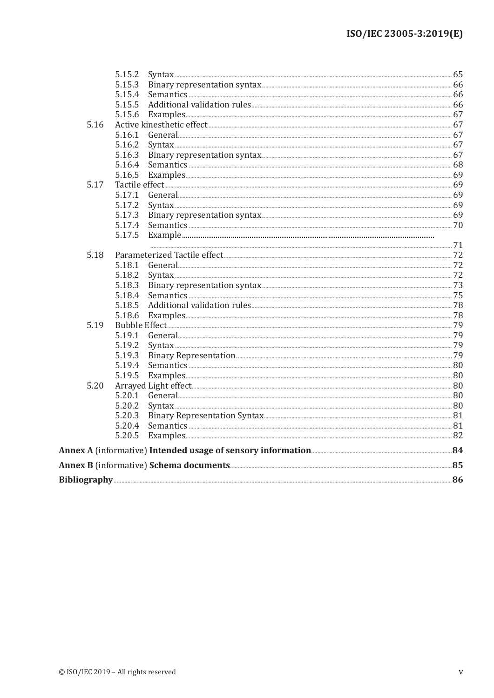|      | 5.15.4                                                                                                                                                                                                                                                                                                                                                                                                    |  |  |  |
|------|-----------------------------------------------------------------------------------------------------------------------------------------------------------------------------------------------------------------------------------------------------------------------------------------------------------------------------------------------------------------------------------------------------------|--|--|--|
|      | 5.15.5                                                                                                                                                                                                                                                                                                                                                                                                    |  |  |  |
|      | 5.15.6 Examples 67                                                                                                                                                                                                                                                                                                                                                                                        |  |  |  |
| 5.16 |                                                                                                                                                                                                                                                                                                                                                                                                           |  |  |  |
|      | 5.16.1                                                                                                                                                                                                                                                                                                                                                                                                    |  |  |  |
|      | 5.16.2                                                                                                                                                                                                                                                                                                                                                                                                    |  |  |  |
|      | 5.16.3                                                                                                                                                                                                                                                                                                                                                                                                    |  |  |  |
|      | 5.16.4                                                                                                                                                                                                                                                                                                                                                                                                    |  |  |  |
|      | 5.16.5                                                                                                                                                                                                                                                                                                                                                                                                    |  |  |  |
| 5.17 |                                                                                                                                                                                                                                                                                                                                                                                                           |  |  |  |
|      | 5.17.1                                                                                                                                                                                                                                                                                                                                                                                                    |  |  |  |
|      | 5.17.2                                                                                                                                                                                                                                                                                                                                                                                                    |  |  |  |
|      | 5.17.3                                                                                                                                                                                                                                                                                                                                                                                                    |  |  |  |
|      | 5.17.4                                                                                                                                                                                                                                                                                                                                                                                                    |  |  |  |
|      | 5.17.5<br>$Example 1.11 \times 1.11 \times 1.11 \times 1.11 \times 1.11 \times 1.11 \times 1.11 \times 1.11 \times 1.11 \times 1.11 \times 1.11 \times 1.11 \times 1.11 \times 1.11 \times 1.11 \times 1.11 \times 1.11 \times 1.11 \times 1.11 \times 1.11 \times 1.11 \times 1.11 \times 1.11 \times 1.11 \times 1.11 \times 1.11 \times 1.11 \times 1.11 \times 1.11 \times 1.11 \times 1.11 \times 1$ |  |  |  |
| 5.18 |                                                                                                                                                                                                                                                                                                                                                                                                           |  |  |  |
|      | 5.18.1                                                                                                                                                                                                                                                                                                                                                                                                    |  |  |  |
|      |                                                                                                                                                                                                                                                                                                                                                                                                           |  |  |  |
|      | 5.18.3                                                                                                                                                                                                                                                                                                                                                                                                    |  |  |  |
|      | 5.18.4                                                                                                                                                                                                                                                                                                                                                                                                    |  |  |  |
|      | 5.18.5                                                                                                                                                                                                                                                                                                                                                                                                    |  |  |  |
|      | 5.18.6                                                                                                                                                                                                                                                                                                                                                                                                    |  |  |  |
| 5.19 |                                                                                                                                                                                                                                                                                                                                                                                                           |  |  |  |
|      | 5.19.1                                                                                                                                                                                                                                                                                                                                                                                                    |  |  |  |
|      | 5.19.2                                                                                                                                                                                                                                                                                                                                                                                                    |  |  |  |
|      | Binary Representation<br>5.19.3                                                                                                                                                                                                                                                                                                                                                                           |  |  |  |
|      | 5.19.4                                                                                                                                                                                                                                                                                                                                                                                                    |  |  |  |
|      | 5.19.5                                                                                                                                                                                                                                                                                                                                                                                                    |  |  |  |
| 5.20 |                                                                                                                                                                                                                                                                                                                                                                                                           |  |  |  |
|      |                                                                                                                                                                                                                                                                                                                                                                                                           |  |  |  |
|      | 5.20.2                                                                                                                                                                                                                                                                                                                                                                                                    |  |  |  |
|      | 5.20.3                                                                                                                                                                                                                                                                                                                                                                                                    |  |  |  |
|      | 5.20.4                                                                                                                                                                                                                                                                                                                                                                                                    |  |  |  |
|      | 5.20.5<br>Examples 82                                                                                                                                                                                                                                                                                                                                                                                     |  |  |  |
|      |                                                                                                                                                                                                                                                                                                                                                                                                           |  |  |  |
|      |                                                                                                                                                                                                                                                                                                                                                                                                           |  |  |  |
|      |                                                                                                                                                                                                                                                                                                                                                                                                           |  |  |  |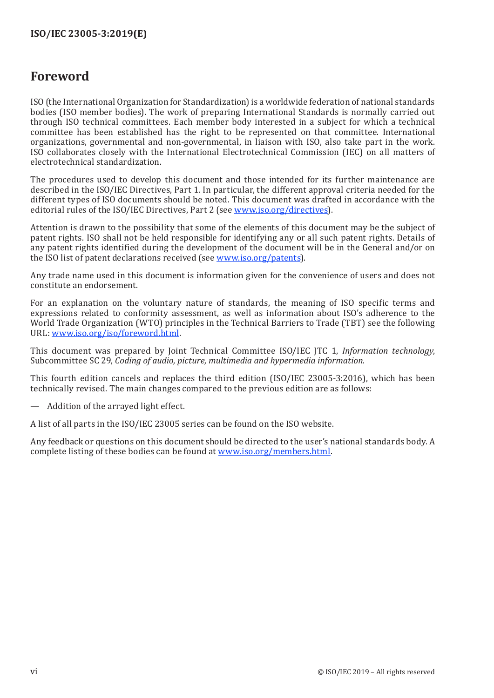#### <span id="page-5-0"></span>**Foreword**

ISO (the International Organization for Standardization) is a worldwide federation of national standards bodies (ISO member bodies). The work of preparing International Standards is normally carried out through ISO technical committees. Each member body interested in a subject for which a technical committee has been established has the right to be represented on that committee. International organizations, governmental and non-governmental, in liaison with ISO, also take part in the work. ISO collaborates closely with the International Electrotechnical Commission (IEC) on all matters of electrotechnical standardization.

The procedures used to develop this document and those intended for its further maintenance are described in the ISO/IEC Directives, Part 1. In particular, the different approval criteria needed for the different types of ISO documents should be noted. This document was drafted in accordance with the editorial rules of the ISO/IEC Directives, Part 2 (see [www.iso.org/directives\)](https://www.iso.org/directives-and-policies.html).

Attention is drawn to the possibility that some of the elements of this document may be the subject of patent rights. ISO shall not be held responsible for identifying any or all such patent rights. Details of any patent rights identified during the development of the document will be in the General and/or on the ISO list of patent declarations received (see [www.iso.org/patents](https://www.iso.org/iso-standards-and-patents.html)).

Any trade name used in this document is information given for the convenience of users and does not constitute an endorsement.

For an explanation on the voluntary nature of standards, the meaning of ISO specific terms and expressions related to conformity assessment, as well as information about ISO's adherence to the World Trade Organization (WTO) principles in the Technical Barriers to Trade (TBT) see the following URL: [www.iso.org/iso/foreword.html](https://www.iso.org/foreword-supplementary-information.html).

This document was prepared by Joint Technical Committee ISO/IEC JTC 1, *Information technology*, Subcommittee SC 29, *Coding of audio, picture, multimedia and hypermedia information*.

This fourth edition cancels and replaces the third edition (ISO/IEC 23005-3:2016), which has been technically revised. The main changes compared to the previous edition are as follows:

— Addition of the arrayed light effect.

A list of all parts in the ISO/IEC 23005 series can be found on the ISO website.

Any feedback or questions on this document should be directed to the user's national standards body. A complete listing of these bodies can be found at [www.iso.org/members.html.](http://www.iso.org/members.html)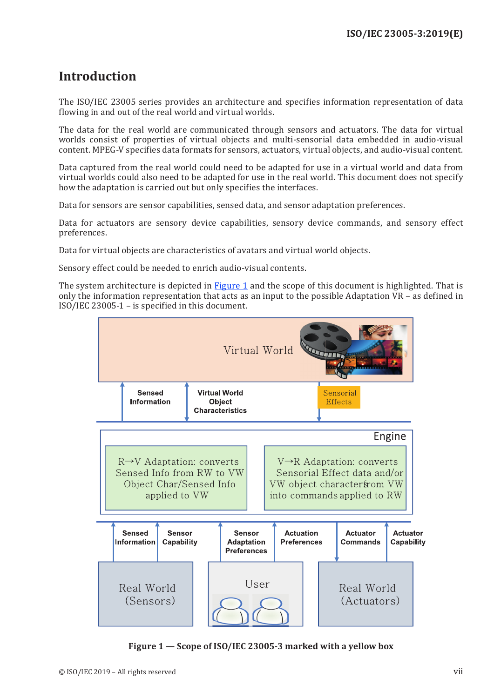### <span id="page-6-0"></span>**Introduction**

The ISO/IEC 23005 series provides an architecture and specifies information representation of data flowing in and out of the real world and virtual worlds.

The data for the real world are communicated through sensors and actuators. The data for virtual worlds consist of properties of virtual objects and multi-sensorial data embedded in audio-visual content. MPEG-V specifies data formats for sensors, actuators, virtual objects, and audio-visual content.

Data captured from the real world could need to be adapted for use in a virtual world and data from virtual worlds could also need to be adapted for use in the real world. This document does not specify how the adaptation is carried out but only specifies the interfaces.

Data for sensors are sensor capabilities, sensed data, and sensor adaptation preferences.

Data for actuators are sensory device capabilities, sensory device commands, and sensory effect preferences.

Data for virtual objects are characteristics of avatars and virtual world objects.

Sensory effect could be needed to enrich audio-visual contents.

The system architecture is depicted in [Figure](#page-6-1) 1 and the scope of this document is highlighted. That is only the information representation that acts as an input to the possible Adaptation VR – as defined in ISO/IEC 23005-1 – is specified in this document.



<span id="page-6-1"></span>**Figure 1 — Scope of ISO/IEC 23005-3 marked with a yellow box**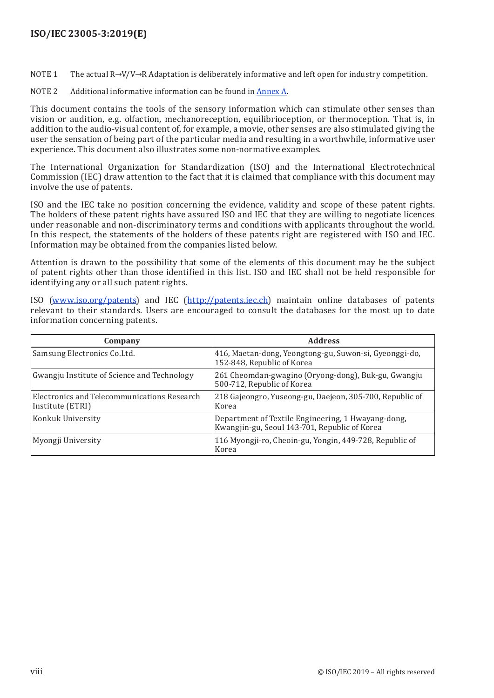#### **ISO/IEC 23005-3:2019(E)**

NOTE 1 The actual R→V/V→R Adaptation is deliberately informative and left open for industry competition.

NOTE 2 Additional informative information can be found in Annex A.

This document contains the tools of the sensory information which can stimulate other senses than vision or audition, e.g. olfaction, mechanoreception, equilibrioception, or thermoception. That is, in addition to the audio-visual content of, for example, a movie, other senses are also stimulated giving the user the sensation of being part of the particular media and resulting in a worthwhile, informative user experience. This document also illustrates some non-normative examples.

The International Organization for Standardization (ISO) and the International Electrotechnical Commission (IEC) draw attention to the fact that it is claimed that compliance with this document may involve the use of patents.

ISO and the IEC take no position concerning the evidence, validity and scope of these patent rights. The holders of these patent rights have assured ISO and IEC that they are willing to negotiate licences under reasonable and non-discriminatory terms and conditions with applicants throughout the world. In this respect, the statements of the holders of these patents right are registered with ISO and IEC. Information may be obtained from the companies listed below.

Attention is drawn to the possibility that some of the elements of this document may be the subject of patent rights other than those identified in this list. ISO and IEC shall not be held responsible for identifying any or all such patent rights.

ISO [\(www.iso.org/patents](http://www.iso.org/patents)) and IEC ([http://patents.iec.ch\)](http://patents.iec.ch) maintain online databases of patents relevant to their standards. Users are encouraged to consult the databases for the most up to date information concerning patents.

| Company                                                         | <b>Address</b>                                                                                      |
|-----------------------------------------------------------------|-----------------------------------------------------------------------------------------------------|
| Samsung Electronics Co.Ltd.                                     | 416, Maetan-dong, Yeongtong-gu, Suwon-si, Gyeonggi-do,<br>152-848, Republic of Korea                |
| Gwangju Institute of Science and Technology                     | 261 Cheomdan-gwagino (Oryong-dong), Buk-gu, Gwangju<br>500-712, Republic of Korea                   |
| Electronics and Telecommunications Research<br>Institute (ETRI) | 218 Gajeongro, Yuseong-gu, Daejeon, 305-700, Republic of<br>Korea                                   |
| Konkuk University                                               | Department of Textile Engineering, 1 Hwayang-dong,<br>Kwangjin-gu, Seoul 143-701, Republic of Korea |
| Myongji University                                              | 116 Myongji-ro, Cheoin-gu, Yongin, 449-728, Republic of<br>Korea                                    |